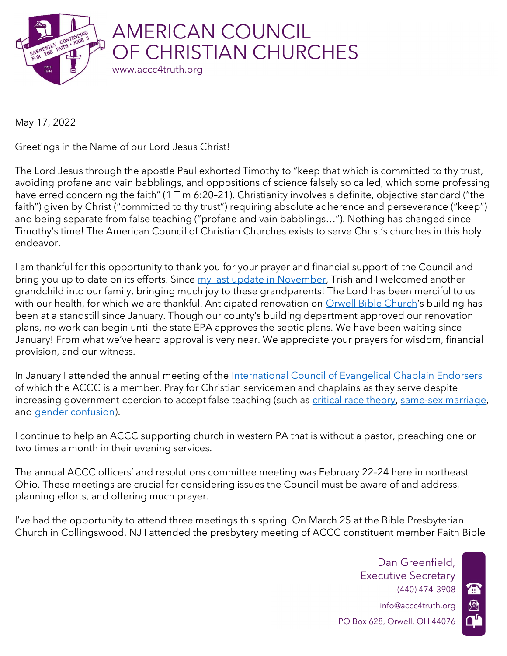

May 17, 2022

Greetings in the Name of our Lord Jesus Christ!

The Lord Jesus through the apostle Paul exhorted Timothy to "keep that which is committed to thy trust, avoiding profane and vain babblings, and oppositions of science falsely so called, which some professing have erred concerning the faith" (1 Tim 6:20-21). Christianity involves a definite, objective standard ("the faith") given by Christ ("committed to thy trust") requiring absolute adherence and perseverance ("keep") and being separate from false teaching ("profane and vain babblings…"). Nothing has changed since Timothy's time! The American Council of Christian Churches exists to serve Christ's churches in this holy endeavor.

I am thankful for this opportunity to thank you for your prayer and financial support of the Council and bring you up to date on its efforts. Since my last update in November, Trish and I welcomed another grandchild into our family, bringing much joy to these grandparents! The Lord has been merciful to us with our health, for which we are thankful. Anticipated renovation on Orwell Bible Church's building has been at a standstill since January. Though our county's building department approved our renovation plans, no work can begin until the state EPA approves the septic plans. We have been waiting since January! From what we've heard approval is very near. We appreciate your prayers for wisdom, financial provision, and our witness.

In January I attended the annual meeting of the International Council of Evangelical Chaplain Endorsers of which the ACCC is a member. Pray for Christian servicemen and chaplains as they serve despite increasing government coercion to accept false teaching (such as critical race theory, same-sex marriage, and gender confusion).

I continue to help an ACCC supporting church in western PA that is without a pastor, preaching one or two times a month in their evening services.

The annual ACCC officers' and resolutions committee meeting was February 22–24 here in northeast Ohio. These meetings are crucial for considering issues the Council must be aware of and address, planning efforts, and offering much prayer.

I've had the opportunity to attend three meetings this spring. On March 25 at the Bible Presbyterian Church in Collingswood, NJ I attended the presbytery meeting of ACCC constituent member Faith Bible

> (440) 474–3908 info@accc4truth.org PO Box 628, Orwell, OH 44076 Dan Greenfield, Executive Secretary